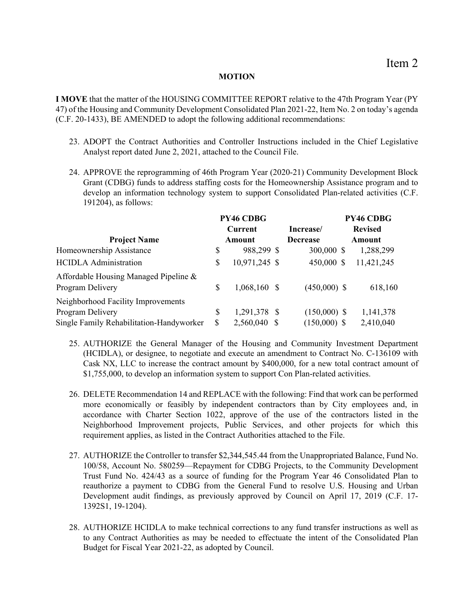## **MOTION**

**I MOVE** that the matter of the HOUSING COMMITTEE REPORT relative to the 47th Program Year (PY 47) of the Housing and Community Development Consolidated Plan 2021-22, Item No. 2 on today's agenda (C.F. 20-1433), BE AMENDED to adopt the following additional recommendations:

- 23. ADOPT the Contract Authorities and Controller Instructions included in the Chief Legislative Analyst report dated June 2, 2021, attached to the Council File.
- 24. APPROVE the reprogramming of 46th Program Year (2020-21) Community Development Block Grant (CDBG) funds to address staffing costs for the Homeownership Assistance program and to develop an information technology system to support Consolidated Plan-related activities (C.F. 191204), as follows:

|                                          |    | PY46 CDBG     |                 | PY46 CDBG      |
|------------------------------------------|----|---------------|-----------------|----------------|
|                                          |    | Current       | Increase/       | <b>Revised</b> |
| <b>Project Name</b>                      |    | Amount        | <b>Decrease</b> | Amount         |
| Homeownership Assistance                 | S  | 988,299 \$    | 300,000 \$      | 1,288,299      |
| <b>HCIDLA</b> Administration             | S  | 10,971,245 \$ | 450,000 \$      | 11,421,245     |
| Affordable Housing Managed Pipeline &    |    |               |                 |                |
| Program Delivery                         | S  | 1,068,160 \$  | $(450,000)$ \$  | 618,160        |
| Neighborhood Facility Improvements       |    |               |                 |                |
| Program Delivery                         | S  | 1,291,378 \$  | $(150,000)$ \$  | 1,141,378      |
| Single Family Rehabilitation-Handyworker | \$ | 2,560,040 \$  | $(150,000)$ \$  | 2,410,040      |

- 25. AUTHORIZE the General Manager of the Housing and Community Investment Department (HCIDLA), or designee, to negotiate and execute an amendment to Contract No. C-136109 with Cask NX, LLC to increase the contract amount by \$400,000, for a new total contract amount of \$1,755,000, to develop an information system to support Con Plan-related activities.
- 26. DELETE Recommendation 14 and REPLACE with the following: Find that work can be performed more economically or feasibly by independent contractors than by City employees and, in accordance with Charter Section 1022, approve of the use of the contractors listed in the Neighborhood Improvement projects, Public Services, and other projects for which this requirement applies, as listed in the Contract Authorities attached to the File.
- 27. AUTHORIZE the Controller to transfer \$2,344,545.44 from the Unappropriated Balance, Fund No. 100/58, Account No. 580259—Repayment for CDBG Projects, to the Community Development Trust Fund No. 424/43 as a source of funding for the Program Year 46 Consolidated Plan to reauthorize a payment to CDBG from the General Fund to resolve U.S. Housing and Urban Development audit findings, as previously approved by Council on April 17, 2019 (C.F. 17- 1392S1, 19-1204).
- 28. AUTHORIZE HCIDLA to make technical corrections to any fund transfer instructions as well as to any Contract Authorities as may be needed to effectuate the intent of the Consolidated Plan Budget for Fiscal Year 2021-22, as adopted by Council.